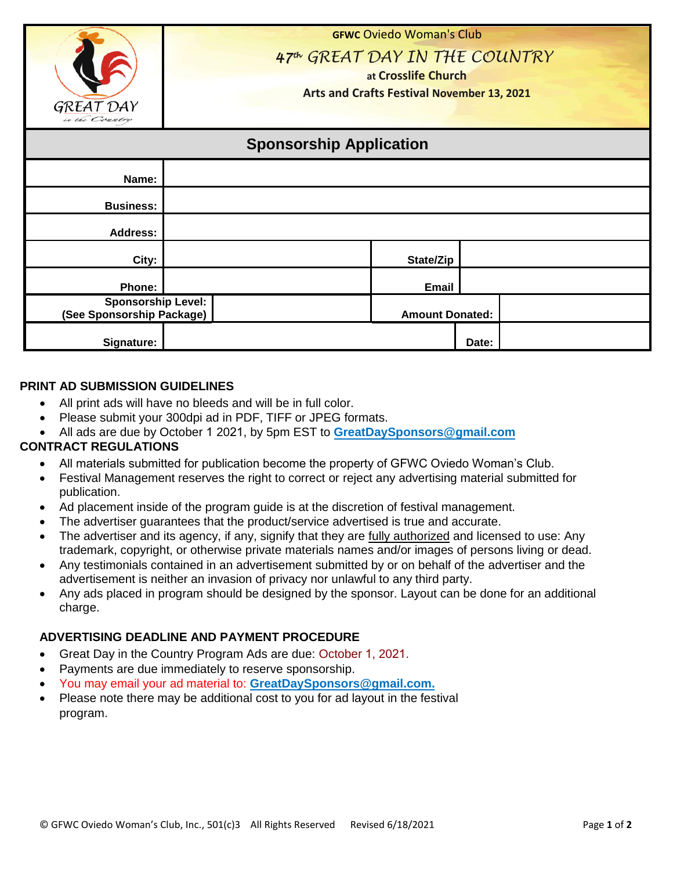

**GFWC** Oviedo Woman's Club

# *47th GREAT DAY IN THE COUNTRY*

**at Crosslife Church** 

**Arts and Crafts Festival November 13, 2021**

| <b>Sponsorship Application</b>                         |  |  |                        |              |  |  |
|--------------------------------------------------------|--|--|------------------------|--------------|--|--|
| Name:                                                  |  |  |                        |              |  |  |
| <b>Business:</b>                                       |  |  |                        |              |  |  |
| <b>Address:</b>                                        |  |  |                        |              |  |  |
| City:                                                  |  |  | State/Zip              |              |  |  |
| Phone:                                                 |  |  |                        | <b>Email</b> |  |  |
| <b>Sponsorship Level:</b><br>(See Sponsorship Package) |  |  | <b>Amount Donated:</b> |              |  |  |
| Signature:                                             |  |  |                        | Date:        |  |  |

## **PRINT AD SUBMISSION GUIDELINES**

- All print ads will have no bleeds and will be in full color.
- Please submit your 300dpi ad in PDF, TIFF or JPEG formats.
- All ads are due by October 1 2021, by 5pm EST to **GreatDaySponsors@gmail.com**

## **CONTRACT REGULATIONS**

- All materials submitted for publication become the property of GFWC Oviedo Woman's Club.
- Festival Management reserves the right to correct or reject any advertising material submitted for publication.
- Ad placement inside of the program guide is at the discretion of festival management.
- The advertiser guarantees that the product/service advertised is true and accurate.
- The advertiser and its agency, if any, signify that they are fully authorized and licensed to use: Any trademark, copyright, or otherwise private materials names and/or images of persons living or dead.
- Any testimonials contained in an advertisement submitted by or on behalf of the advertiser and the advertisement is neither an invasion of privacy nor unlawful to any third party.
- Any ads placed in program should be designed by the sponsor. Layout can be done for an additional charge.

## **ADVERTISING DEADLINE AND PAYMENT PROCEDURE**

- Great Day in the Country Program Ads are due: October 1, 2021.
- Payments are due immediately to reserve sponsorship.
- You may email your ad material to: **GreatDaySponsors@gmail.com.**
- Please note there may be additional cost to you for ad layout in the festival program.